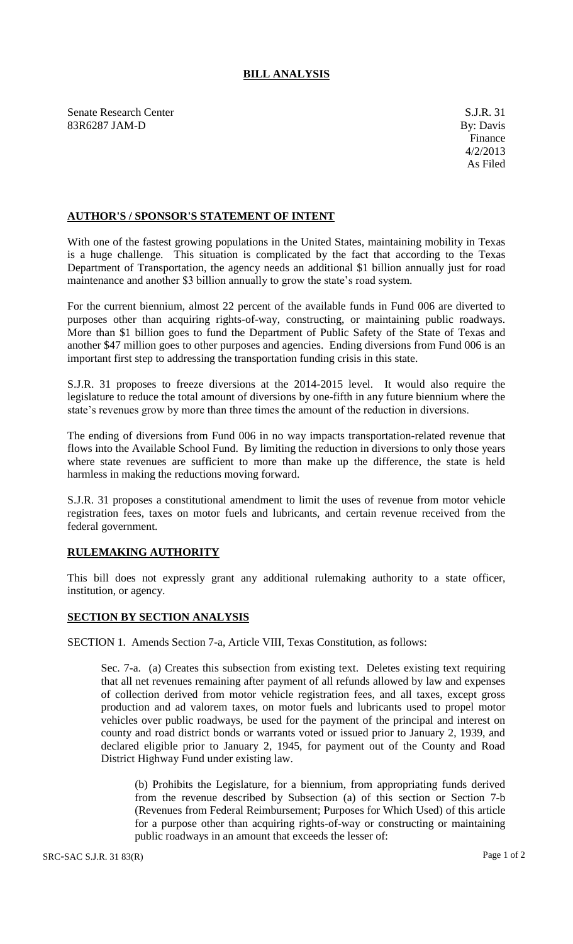## **BILL ANALYSIS**

Senate Research Center S.J.R. 31 83R6287 JAM-D By: Davis

## **AUTHOR'S / SPONSOR'S STATEMENT OF INTENT**

With one of the fastest growing populations in the United States, maintaining mobility in Texas is a huge challenge. This situation is complicated by the fact that according to the Texas Department of Transportation, the agency needs an additional \$1 billion annually just for road maintenance and another \$3 billion annually to grow the state's road system.

For the current biennium, almost 22 percent of the available funds in Fund 006 are diverted to purposes other than acquiring rights-of-way, constructing, or maintaining public roadways. More than \$1 billion goes to fund the Department of Public Safety of the State of Texas and another \$47 million goes to other purposes and agencies. Ending diversions from Fund 006 is an important first step to addressing the transportation funding crisis in this state.

S.J.R. 31 proposes to freeze diversions at the 2014-2015 level. It would also require the legislature to reduce the total amount of diversions by one-fifth in any future biennium where the state's revenues grow by more than three times the amount of the reduction in diversions.

The ending of diversions from Fund 006 in no way impacts transportation-related revenue that flows into the Available School Fund. By limiting the reduction in diversions to only those years where state revenues are sufficient to more than make up the difference, the state is held harmless in making the reductions moving forward.

S.J.R. 31 proposes a constitutional amendment to limit the uses of revenue from motor vehicle registration fees, taxes on motor fuels and lubricants, and certain revenue received from the federal government.

## **RULEMAKING AUTHORITY**

This bill does not expressly grant any additional rulemaking authority to a state officer, institution, or agency.

## **SECTION BY SECTION ANALYSIS**

SECTION 1. Amends Section 7-a, Article VIII, Texas Constitution, as follows:

Sec. 7-a. (a) Creates this subsection from existing text. Deletes existing text requiring that all net revenues remaining after payment of all refunds allowed by law and expenses of collection derived from motor vehicle registration fees, and all taxes, except gross production and ad valorem taxes, on motor fuels and lubricants used to propel motor vehicles over public roadways, be used for the payment of the principal and interest on county and road district bonds or warrants voted or issued prior to January 2, 1939, and declared eligible prior to January 2, 1945, for payment out of the County and Road District Highway Fund under existing law.

(b) Prohibits the Legislature, for a biennium, from appropriating funds derived from the revenue described by Subsection (a) of this section or Section 7-b (Revenues from Federal Reimbursement; Purposes for Which Used) of this article for a purpose other than acquiring rights-of-way or constructing or maintaining public roadways in an amount that exceeds the lesser of: